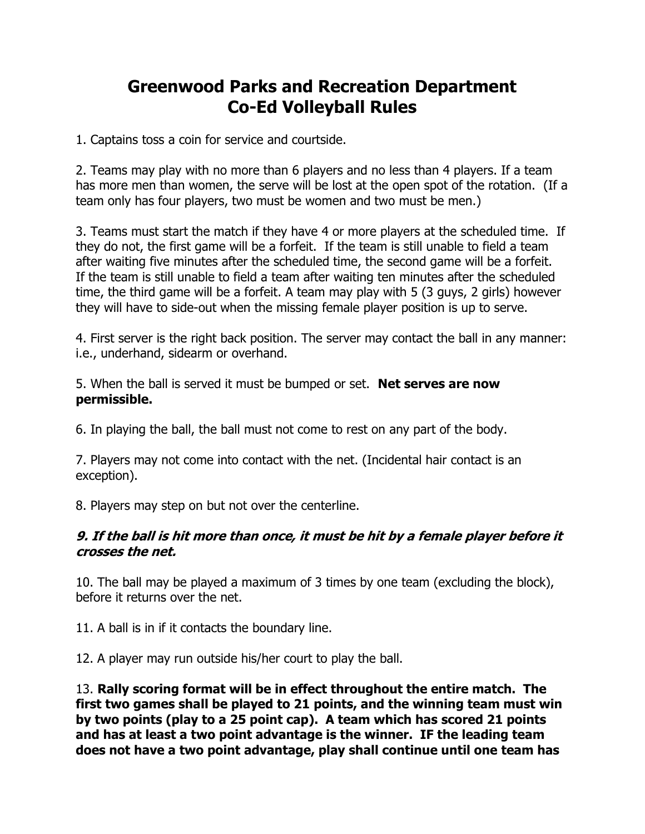## **Greenwood Parks and Recreation Department Co-Ed Volleyball Rules**

1. Captains toss a coin for service and courtside.

2. Teams may play with no more than 6 players and no less than 4 players. If a team has more men than women, the serve will be lost at the open spot of the rotation. (If a team only has four players, two must be women and two must be men.)

3. Teams must start the match if they have 4 or more players at the scheduled time. If they do not, the first game will be a forfeit. If the team is still unable to field a team after waiting five minutes after the scheduled time, the second game will be a forfeit. If the team is still unable to field a team after waiting ten minutes after the scheduled time, the third game will be a forfeit. A team may play with 5 (3 guys, 2 girls) however they will have to side-out when the missing female player position is up to serve.

4. First server is the right back position. The server may contact the ball in any manner: i.e., underhand, sidearm or overhand.

5. When the ball is served it must be bumped or set. **Net serves are now permissible.**

6. In playing the ball, the ball must not come to rest on any part of the body.

7. Players may not come into contact with the net. (Incidental hair contact is an exception).

8. Players may step on but not over the centerline.

## **9. If the ball is hit more than once, it must be hit by a female player before it crosses the net.**

10. The ball may be played a maximum of 3 times by one team (excluding the block), before it returns over the net.

11. A ball is in if it contacts the boundary line.

12. A player may run outside his/her court to play the ball.

13. **Rally scoring format will be in effect throughout the entire match. The first two games shall be played to 21 points, and the winning team must win by two points (play to a 25 point cap). A team which has scored 21 points and has at least a two point advantage is the winner. IF the leading team does not have a two point advantage, play shall continue until one team has**